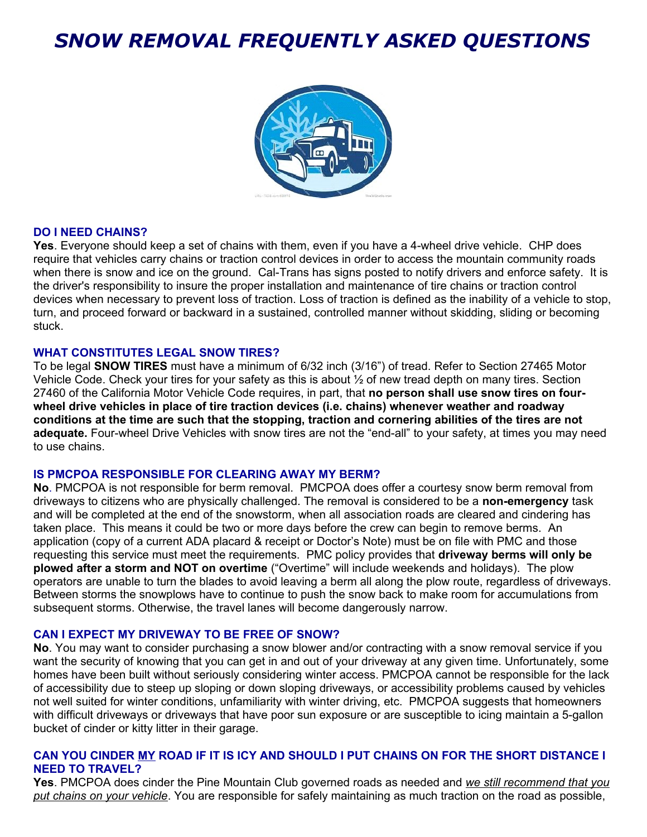# *SNOW REMOVAL FREQUENTLY ASKED QUESTIONS*



#### **DO I NEED CHAINS?**

**Yes**. Everyone should keep a set of chains with them, even if you have a 4-wheel drive vehicle. CHP does require that vehicles carry chains or traction control devices in order to access the mountain community roads when there is snow and ice on the ground. Cal-Trans has signs posted to notify drivers and enforce safety. It is the driver's responsibility to insure the proper installation and maintenance of tire chains or traction control devices when necessary to prevent loss of traction. Loss of traction is defined as the inability of a vehicle to stop, turn, and proceed forward or backward in a sustained, controlled manner without skidding, sliding or becoming stuck.

#### **WHAT CONSTITUTES LEGAL SNOW TIRES?**

To be legal **SNOW TIRES** must have a minimum of 6/32 inch (3/16") of tread. Refer to Section 27465 Motor Vehicle Code. Check your tires for your safety as this is about ½ of new tread depth on many tires. Section 27460 of the California Motor Vehicle Code requires, in part, that **no person shall use snow tires on fourwheel drive vehicles in place of tire traction devices (i.e. chains) whenever weather and roadway conditions at the time are such that the stopping, traction and cornering abilities of the tires are not adequate.** Four-wheel Drive Vehicles with snow tires are not the "end-all" to your safety, at times you may need to use chains.

#### **IS PMCPOA RESPONSIBLE FOR CLEARING AWAY MY BERM?**

**No**. PMCPOA is not responsible for berm removal. PMCPOA does offer a courtesy snow berm removal from driveways to citizens who are physically challenged. The removal is considered to be a **non-emergency** task and will be completed at the end of the snowstorm, when all association roads are cleared and cindering has taken place. This means it could be two or more days before the crew can begin to remove berms. An application (copy of a current ADA placard & receipt or Doctor's Note) must be on file with PMC and those requesting this service must meet the requirements. PMC policy provides that **driveway berms will only be plowed after a storm and NOT on overtime** ("Overtime" will include weekends and holidays). The plow operators are unable to turn the blades to avoid leaving a berm all along the plow route, regardless of driveways. Between storms the snowplows have to continue to push the snow back to make room for accumulations from subsequent storms. Otherwise, the travel lanes will become dangerously narrow.

#### **CAN I EXPECT MY DRIVEWAY TO BE FREE OF SNOW?**

**No**. You may want to consider purchasing a snow blower and/or contracting with a snow removal service if you want the security of knowing that you can get in and out of your driveway at any given time. Unfortunately, some homes have been built without seriously considering winter access. PMCPOA cannot be responsible for the lack of accessibility due to steep up sloping or down sloping driveways, or accessibility problems caused by vehicles not well suited for winter conditions, unfamiliarity with winter driving, etc. PMCPOA suggests that homeowners with difficult driveways or driveways that have poor sun exposure or are susceptible to icing maintain a 5-gallon bucket of cinder or kitty litter in their garage.

# **CAN YOU CINDER MY ROAD IF IT IS ICY AND SHOULD I PUT CHAINS ON FOR THE SHORT DISTANCE I NEED TO TRAVEL?**

**Yes**. PMCPOA does cinder the Pine Mountain Club governed roads as needed and *we still recommend that you put chains on your vehicle*. You are responsible for safely maintaining as much traction on the road as possible,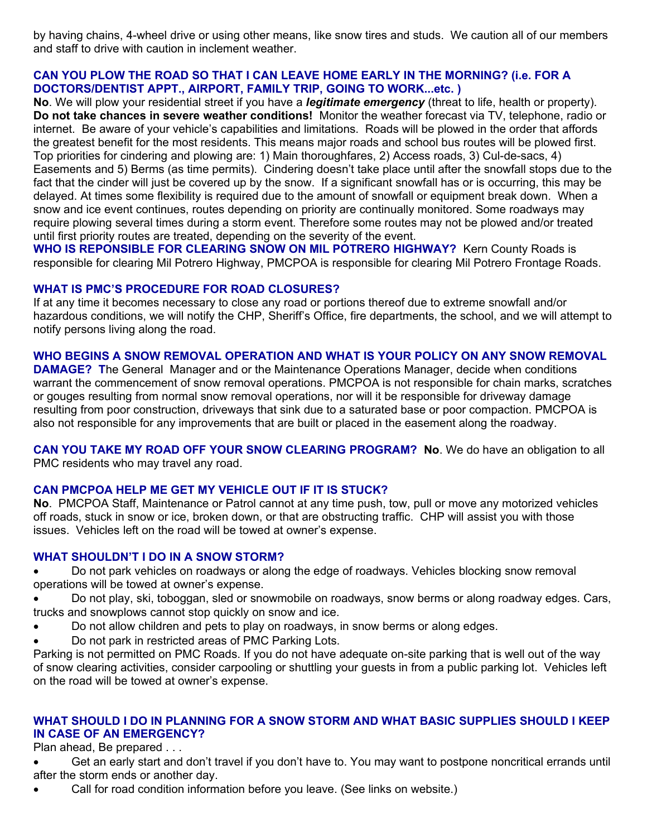by having chains, 4-wheel drive or using other means, like snow tires and studs. We caution all of our members and staff to drive with caution in inclement weather.

# **CAN YOU PLOW THE ROAD SO THAT I CAN LEAVE HOME EARLY IN THE MORNING? (i.e. FOR A DOCTORS/DENTIST APPT., AIRPORT, FAMILY TRIP, GOING TO WORK...etc. )**

**No**. We will plow your residential street if you have a *legitimate emergency* (threat to life, health or property). **Do not take chances in severe weather conditions!** Monitor the weather forecast via TV, telephone, radio or internet.Be aware of your vehicle's capabilities and limitations. Roads will be plowed in the order that affords the greatest benefit for the most residents. This means major roads and school bus routes will be plowed first. Top priorities for cindering and plowing are: 1) Main thoroughfares, 2) Access roads, 3) Cul-de-sacs, 4) Easements and 5) Berms (as time permits). Cindering doesn't take place until after the snowfall stops due to the fact that the cinder will just be covered up by the snow. If a significant snowfall has or is occurring, this may be delayed. At times some flexibility is required due to the amount of snowfall or equipment break down. When a snow and ice event continues, routes depending on priority are continually monitored. Some roadways may require plowing several times during a storm event. Therefore some routes may not be plowed and/or treated until first priority routes are treated, depending on the severity of the event.

**WHO IS REPONSIBLE FOR CLEARING SNOW ON MIL POTRERO HIGHWAY?** Kern County Roads is responsible for clearing Mil Potrero Highway, PMCPOA is responsible for clearing Mil Potrero Frontage Roads.

### **WHAT IS PMC'S PROCEDURE FOR ROAD CLOSURES?**

If at any time it becomes necessary to close any road or portions thereof due to extreme snowfall and/or hazardous conditions, we will notify the CHP, Sheriff's Office, fire departments, the school, and we will attempt to notify persons living along the road.

# **WHO BEGINS A SNOW REMOVAL OPERATION AND WHAT IS YOUR POLICY ON ANY SNOW REMOVAL**

**DAMAGE? T**he General Manager and or the Maintenance Operations Manager, decide when conditions warrant the commencement of snow removal operations. PMCPOA is not responsible for chain marks, scratches or gouges resulting from normal snow removal operations, nor will it be responsible for driveway damage resulting from poor construction, driveways that sink due to a saturated base or poor compaction. PMCPOA is also not responsible for any improvements that are built or placed in the easement along the roadway.

**CAN YOU TAKE MY ROAD OFF YOUR SNOW CLEARING PROGRAM? No**. We do have an obligation to all PMC residents who may travel any road.

# **CAN PMCPOA HELP ME GET MY VEHICLE OUT IF IT IS STUCK?**

**No**.PMCPOA Staff, Maintenance or Patrol cannot at any time push, tow, pull or move any motorized vehicles off roads, stuck in snow or ice, broken down, or that are obstructing traffic. CHP will assist you with those issues. Vehicles left on the road will be towed at owner's expense.

#### **WHAT SHOULDN'T I DO IN A SNOW STORM?**

 Do not park vehicles on roadways or along the edge of roadways. Vehicles blocking snow removal operations will be towed at owner's expense.

 Do not play, ski, toboggan, sled or snowmobile on roadways, snow berms or along roadway edges. Cars, trucks and snowplows cannot stop quickly on snow and ice.

- Do not allow children and pets to play on roadways, in snow berms or along edges.
- Do not park in restricted areas of PMC Parking Lots.

Parking is not permitted on PMC Roads. If you do not have adequate on-site parking that is well out of the way of snow clearing activities, consider carpooling or shuttling your guests in from a public parking lot. Vehicles left on the road will be towed at owner's expense.

# **WHAT SHOULD I DO IN PLANNING FOR A SNOW STORM AND WHAT BASIC SUPPLIES SHOULD I KEEP IN CASE OF AN EMERGENCY?**

Plan ahead, Be prepared . . .

 Get an early start and don't travel if you don't have to. You may want to postpone noncritical errands until after the storm ends or another day.

Call for road condition information before you leave. (See links on website.)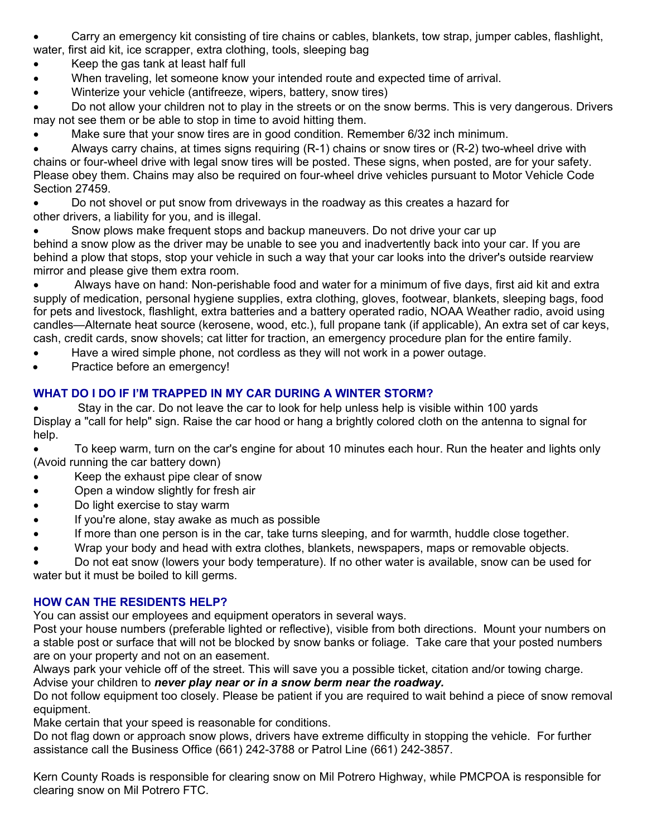- Carry an emergency kit consisting of tire chains or cables, blankets, tow strap, jumper cables, flashlight, water, first aid kit, ice scrapper, extra clothing, tools, sleeping bag
- Keep the gas tank at least half full
- When traveling, let someone know your intended route and expected time of arrival.
- Winterize your vehicle (antifreeze, wipers, battery, snow tires)

 Do not allow your children not to play in the streets or on the snow berms. This is very dangerous. Drivers may not see them or be able to stop in time to avoid hitting them.

Make sure that your snow tires are in good condition. Remember 6/32 inch minimum.

 Always carry chains, at times signs requiring (R-1) chains or snow tires or (R-2) two-wheel drive with chains or four-wheel drive with legal snow tires will be posted. These signs, when posted, are for your safety. Please obey them. Chains may also be required on four-wheel drive vehicles pursuant to Motor Vehicle Code Section 27459.

 Do not shovel or put snow from driveways in the roadway as this creates a hazard for other drivers, a liability for you, and is illegal.

 Snow plows make frequent stops and backup maneuvers. Do not drive your car up behind a snow plow as the driver may be unable to see you and inadvertently back into your car. If you are behind a plow that stops, stop your vehicle in such a way that your car looks into the driver's outside rearview mirror and please give them extra room.

 Always have on hand: Non-perishable food and water for a minimum of five days, first aid kit and extra supply of medication, personal hygiene supplies, extra clothing, gloves, footwear, blankets, sleeping bags, food for pets and livestock, flashlight, extra batteries and a battery operated radio, NOAA Weather radio, avoid using candles—Alternate heat source (kerosene, wood, etc.), full propane tank (if applicable), An extra set of car keys, cash, credit cards, snow shovels; cat litter for traction, an emergency procedure plan for the entire family.

- Have a wired simple phone, not cordless as they will not work in a power outage.
- Practice before an emergency!

# **WHAT DO I DO IF I'M TRAPPED IN MY CAR DURING A WINTER STORM?**

 Stay in the car. Do not leave the car to look for help unless help is visible within 100 yards Display a "call for help" sign. Raise the car hood or hang a brightly colored cloth on the antenna to signal for help.

 To keep warm, turn on the car's engine for about 10 minutes each hour. Run the heater and lights only (Avoid running the car battery down)

- Keep the exhaust pipe clear of snow
- Open a window slightly for fresh air
- Do light exercise to stay warm
- If you're alone, stay awake as much as possible
- If more than one person is in the car, take turns sleeping, and for warmth, huddle close together.
- Wrap your body and head with extra clothes, blankets, newspapers, maps or removable objects.

 Do not eat snow (lowers your body temperature). If no other water is available, snow can be used for water but it must be boiled to kill germs.

# **HOW CAN THE RESIDENTS HELP?**

You can assist our employees and equipment operators in several ways.

Post your house numbers (preferable lighted or reflective), visible from both directions. Mount your numbers on a stable post or surface that will not be blocked by snow banks or foliage. Take care that your posted numbers are on your property and not on an easement.

Always park your vehicle off of the street. This will save you a possible ticket, citation and/or towing charge.

Advise your children to *never play near or in a snow berm near the roadway.*

Do not follow equipment too closely. Please be patient if you are required to wait behind a piece of snow removal equipment.

Make certain that your speed is reasonable for conditions.

Do not flag down or approach snow plows, drivers have extreme difficulty in stopping the vehicle. For further assistance call the Business Office (661) 242-3788 or Patrol Line (661) 242-3857.

Kern County Roads is responsible for clearing snow on Mil Potrero Highway, while PMCPOA is responsible for clearing snow on Mil Potrero FTC.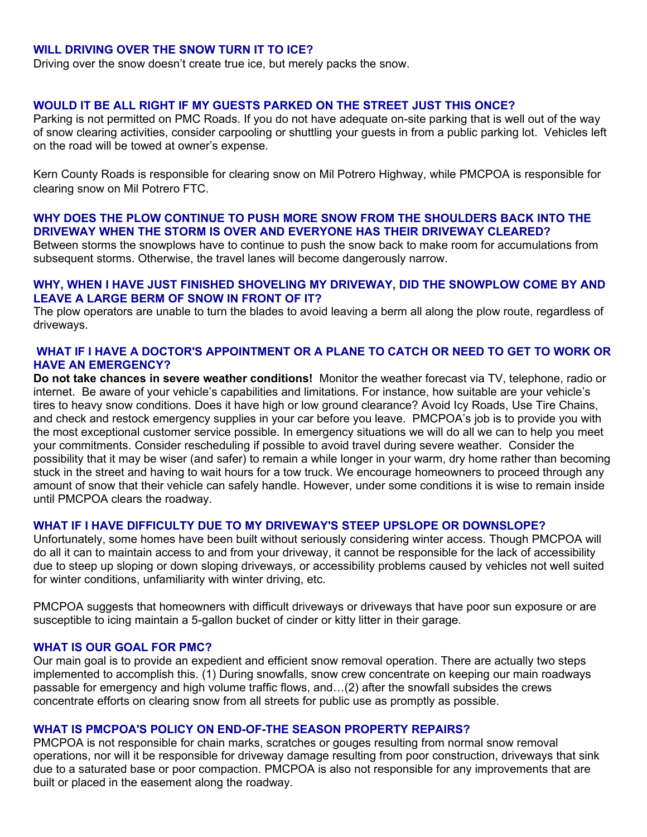#### **WILL DRIVING OVER THE SNOW TURN IT TO ICE?**

Driving over the snow doesn't create true ice, but merely packs the snow.

# **WOULD IT BE ALL RIGHT IF MY GUESTS PARKED ON THE STREET JUST THIS ONCE?**

Parking is not permitted on PMC Roads. If you do not have adequate on-site parking that is well out of the way of snow clearing activities, consider carpooling or shuttling your guests in from a public parking lot. Vehicles left on the road will be towed at owner's expense.

Kern County Roads is responsible for clearing snow on Mil Potrero Highway, while PMCPOA is responsible for clearing snow on Mil Potrero FTC.

# **WHY DOES THE PLOW CONTINUE TO PUSH MORE SNOW FROM THE SHOULDERS BACK INTO THE DRIVEWAY WHEN THE STORM IS OVER AND EVERYONE HAS THEIR DRIVEWAY CLEARED?**

Between storms the snowplows have to continue to push the snow back to make room for accumulations from subsequent storms. Otherwise, the travel lanes will become dangerously narrow.

#### **WHY, WHEN I HAVE JUST FINISHED SHOVELING MY DRIVEWAY, DID THE SNOWPLOW COME BY AND LEAVE A LARGE BERM OF SNOW IN FRONT OF IT?**

The plow operators are unable to turn the blades to avoid leaving a berm all along the plow route, regardless of driveways.

### **WHAT IF I HAVE A DOCTOR'S APPOINTMENT OR A PLANE TO CATCH OR NEED TO GET TO WORK OR HAVE AN EMERGENCY?**

**Do not take chances in severe weather conditions!** Monitor the weather forecast via TV, telephone, radio or internet.Be aware of your vehicle's capabilities and limitations. For instance, how suitable are your vehicle's tires to heavy snow conditions. Does it have high or low ground clearance? Avoid Icy Roads, Use Tire Chains, and check and restock emergency supplies in your car before you leave. PMCPOA's job is to provide you with the most exceptional customer service possible. In emergency situations we will do all we can to help you meet your commitments. Consider rescheduling if possible to avoid travel during severe weather. Consider the possibility that it may be wiser (and safer) to remain a while longer in your warm, dry home rather than becoming stuck in the street and having to wait hours for a tow truck. We encourage homeowners to proceed through any amount of snow that their vehicle can safely handle. However, under some conditions it is wise to remain inside until PMCPOA clears the roadway.

#### **WHAT IF I HAVE DIFFICULTY DUE TO MY DRIVEWAY'S STEEP UPSLOPE OR DOWNSLOPE?**

Unfortunately, some homes have been built without seriously considering winter access. Though PMCPOA will do all it can to maintain access to and from your driveway, it cannot be responsible for the lack of accessibility due to steep up sloping or down sloping driveways, or accessibility problems caused by vehicles not well suited for winter conditions, unfamiliarity with winter driving, etc.

PMCPOA suggests that homeowners with difficult driveways or driveways that have poor sun exposure or are susceptible to icing maintain a 5-gallon bucket of cinder or kitty litter in their garage.

#### **WHAT IS OUR GOAL FOR PMC?**

Our main goal is to provide an expedient and efficient snow removal operation. There are actually two steps implemented to accomplish this. (1) During snowfalls, snow crew concentrate on keeping our main roadways passable for emergency and high volume traffic flows, and…(2) after the snowfall subsides the crews concentrate efforts on clearing snow from all streets for public use as promptly as possible.

#### **WHAT IS PMCPOA'S POLICY ON END-OF-THE SEASON PROPERTY REPAIRS?**

PMCPOA is not responsible for chain marks, scratches or gouges resulting from normal snow removal operations, nor will it be responsible for driveway damage resulting from poor construction, driveways that sink due to a saturated base or poor compaction. PMCPOA is also not responsible for any improvements that are built or placed in the easement along the roadway.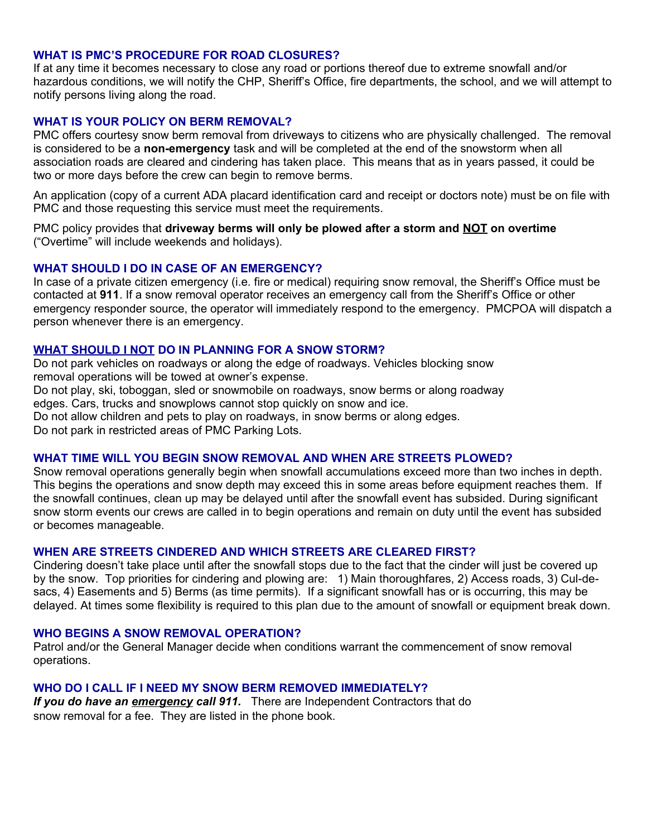# **WHAT IS PMC'S PROCEDURE FOR ROAD CLOSURES?**

If at any time it becomes necessary to close any road or portions thereof due to extreme snowfall and/or hazardous conditions, we will notify the CHP, Sheriff's Office, fire departments, the school, and we will attempt to notify persons living along the road.

# **WHAT IS YOUR POLICY ON BERM REMOVAL?**

PMC offers courtesy snow berm removal from driveways to citizens who are physically challenged. The removal is considered to be a **non-emergency** task and will be completed at the end of the snowstorm when all association roads are cleared and cindering has taken place. This means that as in years passed, it could be two or more days before the crew can begin to remove berms.

An application (copy of a current ADA placard identification card and receipt or doctors note) must be on file with PMC and those requesting this service must meet the requirements.

PMC policy provides that **driveway berms will only be plowed after a storm and NOT on overtime**  ("Overtime" will include weekends and holidays).

#### **WHAT SHOULD I DO IN CASE OF AN EMERGENCY?**

In case of a private citizen emergency (i.e. fire or medical) requiring snow removal, the Sheriff's Office must be contacted at **911**. If a snow removal operator receives an emergency call from the Sheriff's Office or other emergency responder source, the operator will immediately respond to the emergency. PMCPOA will dispatch a person whenever there is an emergency.

## **WHAT SHOULD I NOT DO IN PLANNING FOR A SNOW STORM?**

Do not park vehicles on roadways or along the edge of roadways. Vehicles blocking snow removal operations will be towed at owner's expense. Do not play, ski, toboggan, sled or snowmobile on roadways, snow berms or along roadway edges. Cars, trucks and snowplows cannot stop quickly on snow and ice. Do not allow children and pets to play on roadways, in snow berms or along edges. Do not park in restricted areas of PMC Parking Lots.

#### **WHAT TIME WILL YOU BEGIN SNOW REMOVAL AND WHEN ARE STREETS PLOWED?**

Snow removal operations generally begin when snowfall accumulations exceed more than two inches in depth. This begins the operations and snow depth may exceed this in some areas before equipment reaches them. If the snowfall continues, clean up may be delayed until after the snowfall event has subsided. During significant snow storm events our crews are called in to begin operations and remain on duty until the event has subsided or becomes manageable.

#### **WHEN ARE STREETS CINDERED AND WHICH STREETS ARE CLEARED FIRST?**

Cindering doesn't take place until after the snowfall stops due to the fact that the cinder will just be covered up by the snow. Top priorities for cindering and plowing are: 1) Main thoroughfares, 2) Access roads, 3) Cul-desacs, 4) Easements and 5) Berms (as time permits). If a significant snowfall has or is occurring, this may be delayed. At times some flexibility is required to this plan due to the amount of snowfall or equipment break down.

#### **WHO BEGINS A SNOW REMOVAL OPERATION?**

Patrol and/or the General Manager decide when conditions warrant the commencement of snow removal operations.

#### **WHO DO I CALL IF I NEED MY SNOW BERM REMOVED IMMEDIATELY?**

*If you do have an emergency call 911.* There are Independent Contractors that do snow removal for a fee. They are listed in the phone book.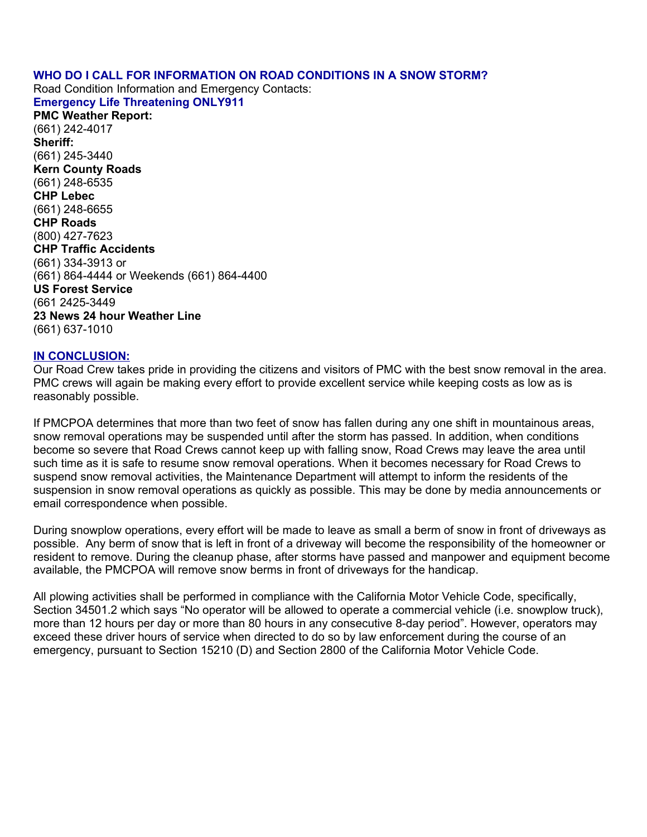# **WHO DO I CALL FOR INFORMATION ON ROAD CONDITIONS IN A SNOW STORM?**

Road Condition Information and Emergency Contacts: **Emergency Life Threatening ONLY911**

**PMC Weather Report:** (661) 242-4017 **Sheriff:** (661) 245-3440 **Kern County Roads** (661) 248-6535 **CHP Lebec** (661) 248-6655 **CHP Roads** (800) 427-7623 **CHP Traffic Accidents** (661) 334-3913 or (661) 864-4444 or Weekends (661) 864-4400 **US Forest Service** (661 2425-3449 **23 News 24 hour Weather Line** (661) 637-1010

#### **IN CONCLUSION:**

Our Road Crew takes pride in providing the citizens and visitors of PMC with the best snow removal in the area. PMC crews will again be making every effort to provide excellent service while keeping costs as low as is reasonably possible.

If PMCPOA determines that more than two feet of snow has fallen during any one shift in mountainous areas, snow removal operations may be suspended until after the storm has passed. In addition, when conditions become so severe that Road Crews cannot keep up with falling snow, Road Crews may leave the area until such time as it is safe to resume snow removal operations. When it becomes necessary for Road Crews to suspend snow removal activities, the Maintenance Department will attempt to inform the residents of the suspension in snow removal operations as quickly as possible. This may be done by media announcements or email correspondence when possible.

During snowplow operations, every effort will be made to leave as small a berm of snow in front of driveways as possible. Any berm of snow that is left in front of a driveway will become the responsibility of the homeowner or resident to remove. During the cleanup phase, after storms have passed and manpower and equipment become available, the PMCPOA will remove snow berms in front of driveways for the handicap.

All plowing activities shall be performed in compliance with the California Motor Vehicle Code, specifically, Section 34501.2 which says "No operator will be allowed to operate a commercial vehicle (i.e. snowplow truck), more than 12 hours per day or more than 80 hours in any consecutive 8-day period". However, operators may exceed these driver hours of service when directed to do so by law enforcement during the course of an emergency, pursuant to Section 15210 (D) and Section 2800 of the California Motor Vehicle Code.